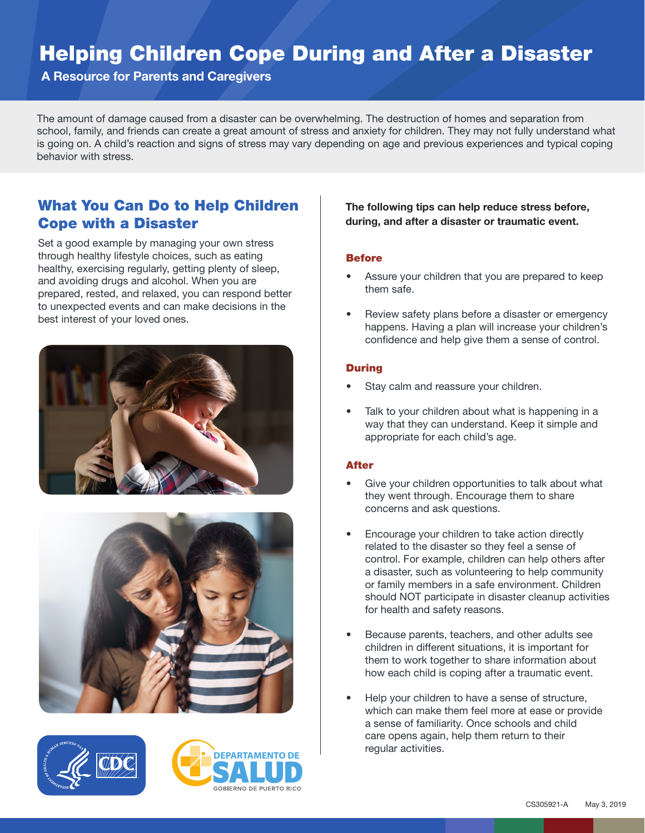## Helping Children Cope During and After a Disaster

A Resource for Parents and Caregivers

The amount of damage caused from a disaster can be overwhelming. The destruction of homes and separation from school, family, and friends can create a great amount of stress and anxiety for children. They may not fully understand what is going on. A child's reaction and signs of stress may vary depending on age and previous experiences and typical coping behavior with stress.

## What You Can Do to Help Children Cope with a Disaster

Set a good example by managing your own stress through healthy lifestyle choices, such as eating healthy, exercising regularly, getting plenty of sleep, and avoiding drugs and alcohol. When you are prepared, rested, and relaxed, you can respond better to unexpected events and can make decisions in the best interest of your loved ones.









The following tips can help reduce stress before, during, and after a disaster or traumatic event.

#### **Before**

- Assure your children that you are prepared to keep them safe.
- Review safety plans before a disaster or emergency happens. Having a plan will increase your children's confidence and help give them a sense of control.

#### During

- Stay calm and reassure your children.
- Talk to your children about what is happening in a way that they can understand. Keep it simple and appropriate for each child's age.

#### After

- Give your children opportunities to talk about what they went through. Encourage them to share concerns and ask questions.
- Encourage your children to take action directly related to the disaster so they feel a sense of control. For example, children can help others after a disaster, such as volunteering to help community or family members in a safe environment. Children should NOT participate in disaster cleanup activities for health and safety reasons.
- Because parents, teachers, and other adults see children in different situations, it is important for them to work together to share information about how each child is coping after a traumatic event.
- Help your children to have a sense of structure, which can make them feel more at ease or provide a sense of familiarity. Once schools and child care opens again, help them return to their regular activities.